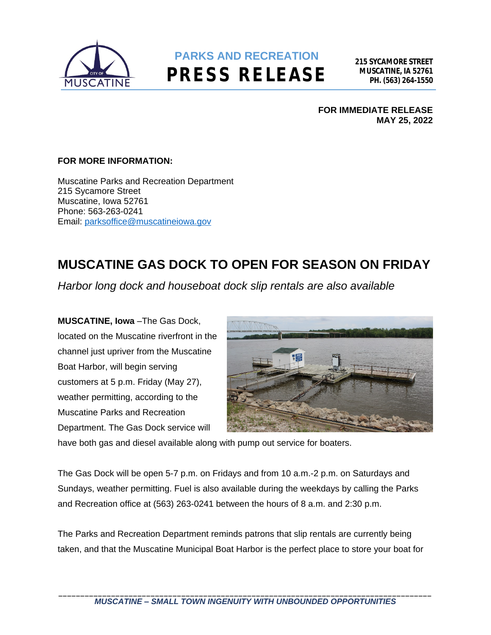

## **PARKS AND RECREATION PRESS RELEASE**

**FOR IMMEDIATE RELEASE MAY 25, 2022**

## **FOR MORE INFORMATION:**

Muscatine Parks and Recreation Department 215 Sycamore Street Muscatine, Iowa 52761 Phone: 563-263-0241 Email: [parksoffice@muscatineiowa.gov](mailto:parksoffice@muscatineiowa.gov)

## **MUSCATINE GAS DOCK TO OPEN FOR SEASON ON FRIDAY**

*Harbor long dock and houseboat dock slip rentals are also available*

**MUSCATINE, Iowa** –The Gas Dock, located on the Muscatine riverfront in the channel just upriver from the Muscatine Boat Harbor, will begin serving customers at 5 p.m. Friday (May 27), weather permitting, according to the Muscatine Parks and Recreation Department. The Gas Dock service will



have both gas and diesel available along with pump out service for boaters.

The Gas Dock will be open 5-7 p.m. on Fridays and from 10 a.m.-2 p.m. on Saturdays and Sundays, weather permitting. Fuel is also available during the weekdays by calling the Parks and Recreation office at (563) 263-0241 between the hours of 8 a.m. and 2:30 p.m.

The Parks and Recreation Department reminds patrons that slip rentals are currently being taken, and that the Muscatine Municipal Boat Harbor is the perfect place to store your boat for